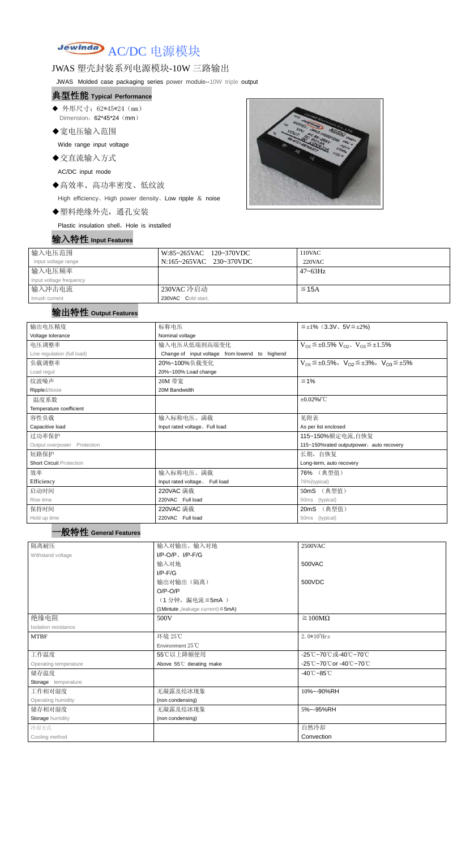# Jewinda AC/DC 电源模块

### JWAS 塑壳封装系列电源模块-10W 三路输出

JWAS Molded case packaging series power module--10W triple output

- ◆ 外形尺寸: 62\*45\*24 (mm) Dimension: 62\*45\*24 (mm)
- ◆宽电压输入范围

#### 典型性能 **Typical Performance**

Wide range input voltage

◆交直流输入方式

AC/DC input mode

◆高效率、高功率密度、低纹波

High efficiency、High power density、Low ripple & noise

◆塑料绝缘外壳,通孔安装

Plastic insulation shell, Hole is installed

|  |  | 输入特性 Input Features |
|--|--|---------------------|
|--|--|---------------------|



| 输入电压范围                  | W:85~265VAC 120~370VDC  | 110VAC       |
|-------------------------|-------------------------|--------------|
| Input voltage range     | N:165~265VAC 230~370VDC | 220VAC       |
| 输入电压频率                  |                         | $47 - 63$ Hz |
| Input voltage frequency |                         |              |
| 输入冲击电流                  | 230VAC 冷启动              | $\leq$ 15A   |
| Inrush current          | 230VAC Cold start,      |              |

### 输出特性 **Output Features**

一般特性 **General Features**

| 输出电压精度                          | 标称电压                                                                       | $\leq \pm 1\%$ (3.3V, 5V $\leq \pm 2\%$ )                               |  |  |
|---------------------------------|----------------------------------------------------------------------------|-------------------------------------------------------------------------|--|--|
| Voltage tolerance               | Nominal voltage                                                            |                                                                         |  |  |
| 电压调整率                           | 输入电压从低端到高端变化<br>$V_{O1} \leq \pm 0.5\% \ V_{O2}$ , $V_{O3} \leq \pm 1.5\%$ |                                                                         |  |  |
| Line regulation (full load)     | Change of input voltage from lowend to highend                             |                                                                         |  |  |
| 负载调整率                           | 20%~100%负载变化                                                               | $V_{O1} \leq \pm 0.5\%$ , $V_{O2} \leq \pm 3\%$ , $V_{O3} \leq \pm 5\%$ |  |  |
| Load regul                      | 20%~100% Load change                                                       |                                                                         |  |  |
| 纹波噪声                            | 20M 带宽                                                                     | $≤ 1%$                                                                  |  |  |
| Ripple&Noise                    | 20M Bandwidth                                                              |                                                                         |  |  |
| 温度系数                            |                                                                            | $\pm 0.02\%$ /°C                                                        |  |  |
| Temperature coefficient         |                                                                            |                                                                         |  |  |
| 容性负载                            | 输入标称电压、满载                                                                  | 见附表                                                                     |  |  |
| Capacitive load                 | Input rated voltage. Full load                                             | As per list enclosed                                                    |  |  |
| 过功率保护                           |                                                                            | 115~150%额定电流,自恢复                                                        |  |  |
| Output overpower Protection     |                                                                            | 115~150%rated outputpower, auto recovery                                |  |  |
| 短路保护                            |                                                                            | 长期, 自恢复                                                                 |  |  |
| <b>Short Circuit Protection</b> |                                                                            | Long-term, auto recovery                                                |  |  |
| 效率                              | 输入标称电压、满载                                                                  | 76% (典型值)                                                               |  |  |
| Efficiency                      | Input rated voltage, Full load<br>76%(typical)                             |                                                                         |  |  |
| 启动时间                            | 50mS (典型值)<br>220VAC 满载                                                    |                                                                         |  |  |
| Rise time                       | 220VAC Full load                                                           | (typical)<br>50 <sub>ms</sub>                                           |  |  |
| 保持时间                            | 220VAC 满载                                                                  | (典型值)<br>20mS                                                           |  |  |
| Hold up time                    | 220VAC Full load                                                           | 50ms (typical)                                                          |  |  |

| 隔离耐压                        | 输入对输出、输入对地                              | <b>2500VAC</b>                  |
|-----------------------------|-----------------------------------------|---------------------------------|
| Withstand voltage           | $I/P-O/P$ , $I/P-F/G$                   |                                 |
|                             | 输入对地                                    | 500VAC                          |
|                             | $I/P$ - $F/G$                           |                                 |
|                             | 输出对输出(隔离)                               | 500VDC                          |
|                             | $O/P-O/P$                               |                                 |
|                             | (1分钟,漏电流≦5mA)                           |                                 |
|                             | (1Mintute, leakage current) $\leq$ 5mA) |                                 |
| 绝缘电阻                        | 500V                                    | $\geq 100M\Omega$               |
| <b>Isolation resistance</b> |                                         |                                 |
| <b>MTBF</b>                 | 环境 25℃                                  | $2.0*105$ Hrs                   |
|                             | Environment 25°C                        |                                 |
| 工作温度                        | 55℃以上降额使用                               | -25℃~70℃或-40℃~70℃               |
| Operating temperature       | Above 55°C derating make                | -25℃~70℃or -40℃~70℃             |
| 储存温度                        |                                         | $-40^{\circ}$ C $-85^{\circ}$ C |
| Storage temperature         |                                         |                                 |
| 工作相对湿度                      | 无凝露及结冰现象<br>10%~-90%RH                  |                                 |
| Operating humidity          | (non condensing)                        |                                 |
| 储存相对湿度                      | 无凝露及结冰现象                                | 5%~-95%RH                       |
| Storage humidity            | (non condensing)                        |                                 |
| 冷却方式                        |                                         | 自然冷却                            |
| Cooling method              |                                         | Convection                      |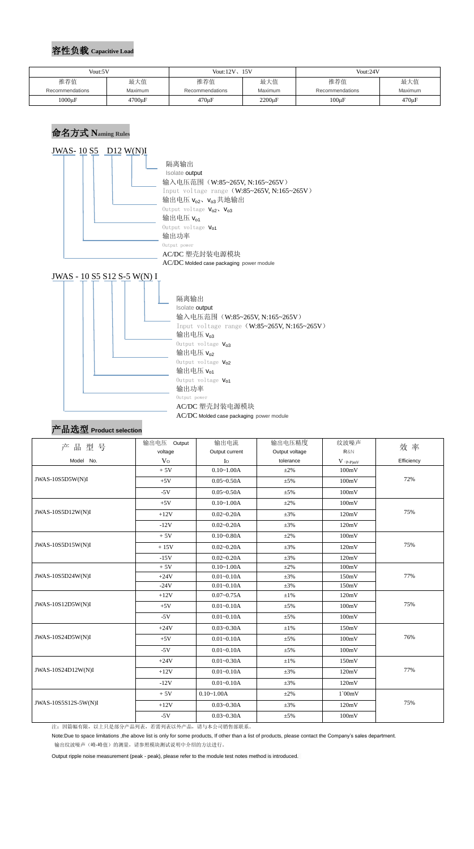#### 容性负载 **Capacitive Load**



# 产品选型 **Product selection**

| 产品型号                 | 输出电压 Output    | 输出电流           | 输出电压精度         | 纹波噪声                                   | 效 率        |  |
|----------------------|----------------|----------------|----------------|----------------------------------------|------------|--|
|                      | voltage        | Output current | Output voltage | R&N                                    |            |  |
| Model No.            | V <sub>O</sub> | $I_{\rm O}$    | tolerance      | $V$ $\mathrm{(}p\text{-}p\mathrm{)}mV$ | Efficiency |  |
|                      | $+5V$          | $0.10 - 1.00A$ | $\pm 2\%$      | 100mV                                  |            |  |
| JWAS-10S5D5W(N)I     | $+5V$          | $0.05 - 0.50A$ | $\pm 5\%$      | 100mV                                  | 72%        |  |
|                      | $-5V$          | $0.05 - 0.50A$ | $\pm 5\%$      | 100mV                                  |            |  |
|                      | $+5V$          | $0.10 - 1.00A$ | $\pm 2\%$      | 100mV                                  |            |  |
| JWAS-10S5D12W(N)I    | $+12V$         | $0.02 - 0.20A$ | $\pm 3\%$      | 120mV                                  | 75%        |  |
|                      | $-12V$         | $0.02 - 0.20A$ | $\pm 3\%$      | 120mV                                  |            |  |
|                      | $+5V$          | $0.10 - 0.80A$ | $\pm 2\%$      | 100mV                                  |            |  |
| JWAS-10S5D15W(N)I    | $+15V$         | $0.02 - 0.20A$ | $\pm 3\%$      | 120mV                                  | 75%        |  |
|                      | $-15V$         | $0.02 - 0.20A$ | $\pm 3\%$      | 120mV                                  |            |  |
|                      | $+5V$          | $0.10 - 1.00A$ | $\pm 2\%$      | 100mV                                  |            |  |
| JWAS-10S5D24W(N)I    | $+24V$         | $0.01 - 0.10A$ | $\pm 3\%$      | 150mV                                  | 77%        |  |
|                      | $-24V$         | $0.01 - 0.10A$ | $\pm 3\%$      | 150mV                                  |            |  |
|                      | $+12V$         | $0.07 - 0.75A$ | $±1\%$         | 120mV                                  |            |  |
| JWAS-10S12D5W(N)I    | $+5V$          | $0.01 - 0.10A$ | $\pm$ 5%       | 100mV                                  | 75%        |  |
|                      | $-5V$          | $0.01 - 0.10A$ | $\pm 5\%$      | 100mV                                  |            |  |
|                      | $+24V$         | $0.03 - 0.30A$ | $\pm 1\%$      | 150mV                                  |            |  |
| JWAS-10S24D5W(N)I    | $+5V$          | $0.01 - 0.10A$ | $\pm 5\%$      | 100mV                                  | 76%        |  |
|                      | $-5V$          | $0.01 - 0.10A$ | $\pm 5\%$      | 100mV                                  |            |  |
|                      | $+24V$         | $0.01 - 0.30A$ | $±1\%$         | 150mV                                  |            |  |
| JWAS-10S24D12W(N)I   | $+12V$         | $0.01 - 0.10A$ | $\pm 3\%$      | 120mV                                  | 77%        |  |
|                      | $-12V$         | $0.01 - 0.10A$ | $\pm 3\%$      | 120mV                                  |            |  |
|                      | $+5V$          | $0.10 - 1.00A$ | $\pm 2\%$      | $1$ `00mV                              |            |  |
| JWAS-10S5S12S-5W(N)I | $+12V$         | $0.03 - 0.30A$ | $\pm 3\%$      | 120mV                                  | 75%        |  |
|                      | $-5V$          | $0.03 - 0.30A$ | $\pm 5\%$      | 100mV                                  |            |  |

注:因篇幅有限,以上只是部分产品列表,若需列表以外产品,请与本公司销售部联系。

Note:Due to space limitations ,the above list is only for some products, If other than a list of products, please contact the Company's sales department.

输出纹波噪声(峰-峰值)的测量,请参照模块测试说明中介绍的方法进行。

Output ripple noise measurement (peak - peak), please refer to the module test notes method is introduced.

| Vout:5V         |              | Vout:12V, 15V   |                    | Vout:24V        |             |
|-----------------|--------------|-----------------|--------------------|-----------------|-------------|
| 推荐值             | 最大值          | 推荐值             | 最大值                | 推荐值             | 最大值         |
| Recommendations | Maximum      | Recommendations | Maximum            | Recommendations | Maximum     |
| $1000 \mu F$    | $4700 \mu F$ | $470 \mu F$     | 2200 <sub>µF</sub> | $100 \mu F$     | $470 \mu F$ |